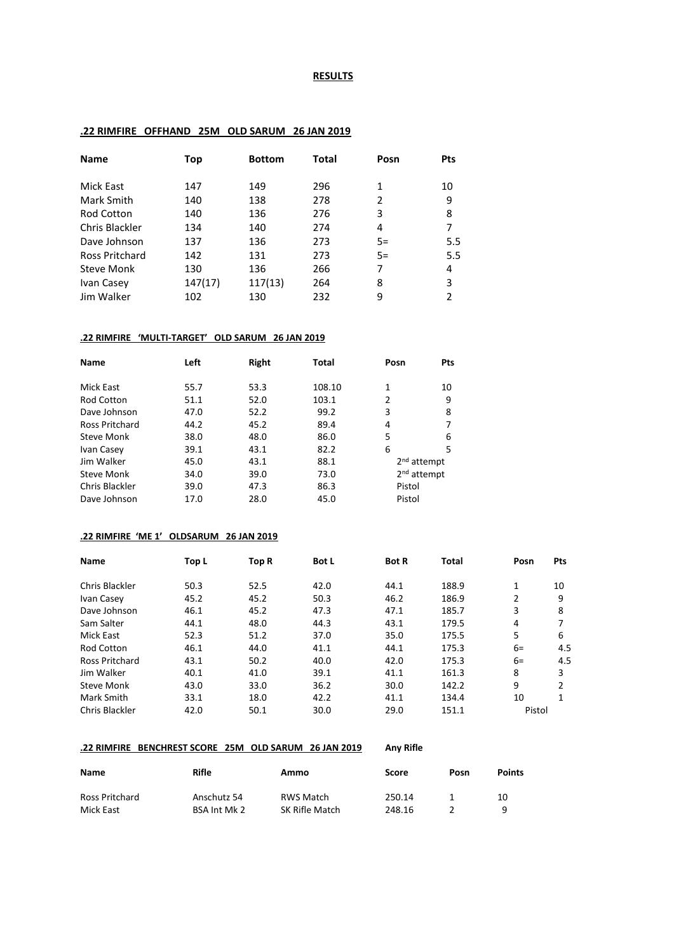#### **RESULTS**

### **.22 RIMFIRE OFFHAND 25M OLD SARUM 26 JAN 2019**

| <b>Name</b>           | Top     | <b>Bottom</b> | Total | Posn | <b>Pts</b> |
|-----------------------|---------|---------------|-------|------|------------|
|                       |         |               |       |      |            |
| Mick East             | 147     | 149           | 296   | 1    | 10         |
| Mark Smith            | 140     | 138           | 278   | 2    | 9          |
| <b>Rod Cotton</b>     | 140     | 136           | 276   | 3    | 8          |
| Chris Blackler        | 134     | 140           | 274   | 4    |            |
| Dave Johnson          | 137     | 136           | 273   | $5=$ | 5.5        |
| <b>Ross Pritchard</b> | 142     | 131           | 273   | $5=$ | 5.5        |
| Steve Monk            | 130     | 136           | 266   | 7    | 4          |
| Ivan Casey            | 147(17) | 117(13)       | 264   | 8    | 3          |
| Jim Walker            | 102     | 130           | 232   | 9    | 2          |

#### **.22 RIMFIRE 'MULTI-TARGET' OLD SARUM 26 JAN 2019**

| <b>Name</b>           | Left | Right | <b>Total</b> | Posn                    | Pts |
|-----------------------|------|-------|--------------|-------------------------|-----|
| Mick East             | 55.7 | 53.3  | 108.10       | 1                       | 10  |
| <b>Rod Cotton</b>     | 51.1 | 52.0  | 103.1        | 2                       | 9   |
| Dave Johnson          | 47.0 | 52.2  | 99.2         | 3                       | 8   |
| <b>Ross Pritchard</b> | 44.2 | 45.2  | 89.4         | 4                       | 7   |
| Steve Monk            | 38.0 | 48.0  | 86.0         | 5                       | 6   |
| Ivan Casey            | 39.1 | 43.1  | 82.2         | 6                       | 5   |
| Jim Walker            | 45.0 | 43.1  | 88.1         | 2 <sup>nd</sup> attempt |     |
| Steve Monk            | 34.0 | 39.0  | 73.0         | 2 <sup>nd</sup> attempt |     |
| Chris Blackler        | 39.0 | 47.3  | 86.3         | Pistol                  |     |
| Dave Johnson          | 17.0 | 28.0  | 45.0         | Pistol                  |     |

### **.22 RIMFIRE 'ME 1' OLDSARUM 26 JAN 2019**

| Name                  | Top L | Top R | <b>Bot L</b> | <b>Bot R</b> | Total | Posn   | Pts |
|-----------------------|-------|-------|--------------|--------------|-------|--------|-----|
| Chris Blackler        | 50.3  | 52.5  | 42.0         | 44.1         | 188.9 | 1      | 10  |
| Ivan Casey            | 45.2  | 45.2  | 50.3         | 46.2         | 186.9 | 2      | 9   |
| Dave Johnson          | 46.1  | 45.2  | 47.3         | 47.1         | 185.7 | 3      | 8   |
| Sam Salter            | 44.1  | 48.0  | 44.3         | 43.1         | 179.5 | 4      |     |
| Mick East             | 52.3  | 51.2  | 37.0         | 35.0         | 175.5 | 5      | 6   |
| <b>Rod Cotton</b>     | 46.1  | 44.0  | 41.1         | 44.1         | 175.3 | $6=$   | 4.5 |
| <b>Ross Pritchard</b> | 43.1  | 50.2  | 40.0         | 42.0         | 175.3 | $6=$   | 4.5 |
| Jim Walker            | 40.1  | 41.0  | 39.1         | 41.1         | 161.3 | 8      | 3   |
| <b>Steve Monk</b>     | 43.0  | 33.0  | 36.2         | 30.0         | 142.2 | 9      | 2   |
| Mark Smith            | 33.1  | 18.0  | 42.2         | 41.1         | 134.4 | 10     | 1   |
| Chris Blackler        | 42.0  | 50.1  | 30.0         | 29.0         | 151.1 | Pistol |     |

#### **.22 RIMFIRE BENCHREST SCORE 25M OLD SARUM 26 JAN 2019 Any Rifle**

| <b>Name</b>    | Rifle        | Ammo           | Score  | Posn | <b>Points</b> |
|----------------|--------------|----------------|--------|------|---------------|
| Ross Pritchard | Anschutz 54  | RWS Match      | 250.14 |      | 10            |
| Mick East      | BSA Int Mk 2 | SK Rifle Match | 248.16 |      | a             |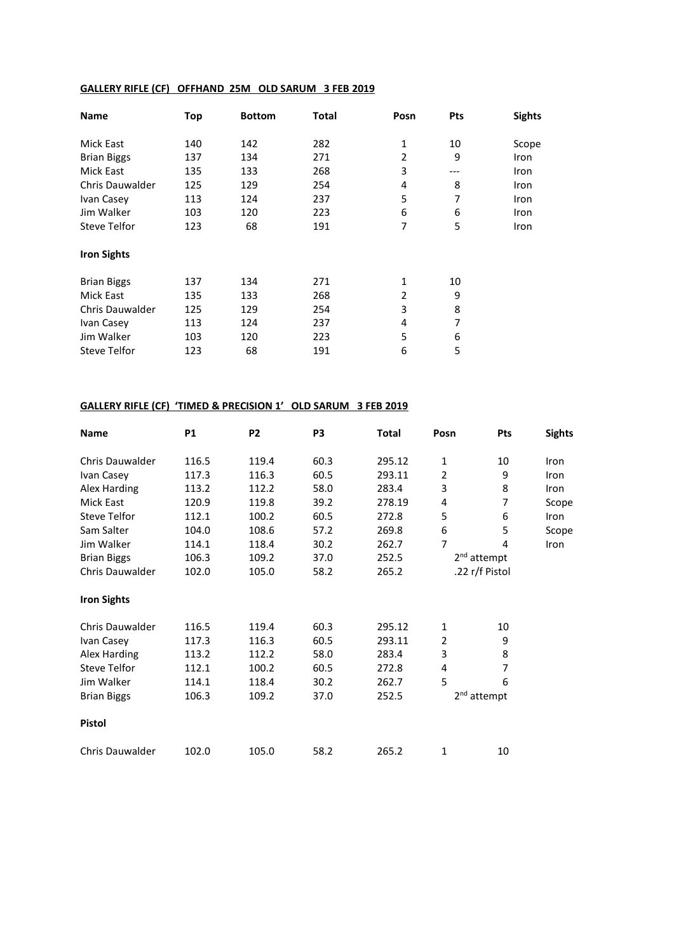## **GALLERY RIFLE (CF) OFFHAND 25M OLD SARUM 3 FEB 2019**

| Name                   | Top | <b>Bottom</b> | <b>Total</b> | Posn | Pts | <b>Sights</b> |
|------------------------|-----|---------------|--------------|------|-----|---------------|
| Mick East              | 140 | 142           | 282          | 1    | 10  | Scope         |
| <b>Brian Biggs</b>     | 137 | 134           | 271          | 2    | 9   | Iron          |
| <b>Mick East</b>       | 135 | 133           | 268          | 3    | --- | Iron          |
| <b>Chris Dauwalder</b> | 125 | 129           | 254          | 4    | 8   | Iron          |
| Ivan Casey             | 113 | 124           | 237          | 5    | 7   | Iron          |
| Jim Walker             | 103 | 120           | 223          | 6    | 6   | Iron          |
| <b>Steve Telfor</b>    | 123 | 68            | 191          | 7    | 5   | Iron          |
| <b>Iron Sights</b>     |     |               |              |      |     |               |
| <b>Brian Biggs</b>     | 137 | 134           | 271          | 1    | 10  |               |
| Mick East              | 135 | 133           | 268          | 2    | 9   |               |
| <b>Chris Dauwalder</b> | 125 | 129           | 254          | 3    | 8   |               |
| Ivan Casey             | 113 | 124           | 237          | 4    | 7   |               |
| Jim Walker             | 103 | 120           | 223          | 5    | 6   |               |
| Steve Telfor           | 123 | 68            | 191          | 6    | 5   |               |

# **GALLERY RIFLE (CF) 'TIMED & PRECISION 1' OLD SARUM 3 FEB 2019**

| <b>Name</b>            | <b>P1</b> | P <sub>2</sub> | P <sub>3</sub> | <b>Total</b> | Posn                    | Pts                     | <b>Sights</b> |
|------------------------|-----------|----------------|----------------|--------------|-------------------------|-------------------------|---------------|
| Chris Dauwalder        | 116.5     | 119.4          | 60.3           | 295.12       | 1                       | 10                      | Iron          |
| Ivan Casey             | 117.3     | 116.3          | 60.5           | 293.11       | 2                       | 9                       | Iron          |
| Alex Harding           | 113.2     | 112.2          | 58.0           | 283.4        | 3                       | 8                       | Iron          |
| <b>Mick East</b>       | 120.9     | 119.8          | 39.2           | 278.19       | 4                       | 7                       | Scope         |
| <b>Steve Telfor</b>    | 112.1     | 100.2          | 60.5           | 272.8        | 5                       | 6                       | Iron          |
| Sam Salter             | 104.0     | 108.6          | 57.2           | 269.8        | 6                       | 5                       | Scope         |
| Jim Walker             | 114.1     | 118.4          | 30.2           | 262.7        | $\overline{7}$          | 4                       | Iron          |
| <b>Brian Biggs</b>     | 106.3     | 109.2          | 37.0           | 252.5        | 2 <sup>nd</sup> attempt |                         |               |
| Chris Dauwalder        | 102.0     | 105.0          | 58.2           | 265.2        | .22 r/f Pistol          |                         |               |
| <b>Iron Sights</b>     |           |                |                |              |                         |                         |               |
| Chris Dauwalder        | 116.5     | 119.4          | 60.3           | 295.12       | 1                       | 10                      |               |
| Ivan Casey             | 117.3     | 116.3          | 60.5           | 293.11       | 2                       | 9                       |               |
| Alex Harding           | 113.2     | 112.2          | 58.0           | 283.4        | 3                       | 8                       |               |
| <b>Steve Telfor</b>    | 112.1     | 100.2          | 60.5           | 272.8        | 4                       | $\overline{7}$          |               |
| Jim Walker             | 114.1     | 118.4          | 30.2           | 262.7        | 5                       | 6                       |               |
| <b>Brian Biggs</b>     | 106.3     | 109.2          | 37.0           | 252.5        |                         | 2 <sup>nd</sup> attempt |               |
| <b>Pistol</b>          |           |                |                |              |                         |                         |               |
| <b>Chris Dauwalder</b> | 102.0     | 105.0          | 58.2           | 265.2        | 1                       | 10                      |               |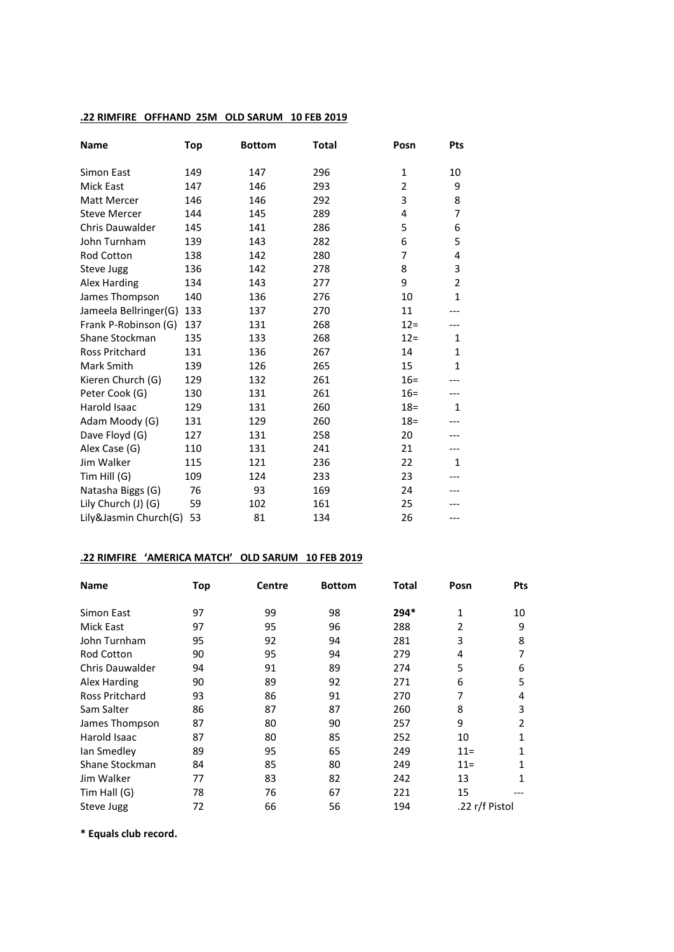### **.22 RIMFIRE OFFHAND 25M OLD SARUM 10 FEB 2019**

| <b>Name</b>            | <b>Top</b> | <b>Bottom</b> | <b>Total</b> | Posn           | Pts            |
|------------------------|------------|---------------|--------------|----------------|----------------|
| Simon East             | 149        | 147           | 296          | 1              | 10             |
| <b>Mick East</b>       | 147        | 146           | 293          | $\overline{2}$ | 9              |
| Matt Mercer            | 146        | 146           | 292          | 3              | 8              |
| <b>Steve Mercer</b>    | 144        | 145           | 289          | 4              | 7              |
| <b>Chris Dauwalder</b> | 145        | 141           | 286          | 5              | 6              |
| John Turnham           | 139        | 143           | 282          | 6              | 5              |
| Rod Cotton             | 138        | 142           | 280          | 7              | 4              |
| Steve Jugg             | 136        | 142           | 278          | 8              | 3              |
| Alex Harding           | 134        | 143           | 277          | 9              | $\overline{2}$ |
| James Thompson         | 140        | 136           | 276          | 10             | $\mathbf{1}$   |
| Jameela Bellringer(G)  | 133        | 137           | 270          | 11             |                |
| Frank P-Robinson (G)   | 137        | 131           | 268          | $12 =$         |                |
| Shane Stockman         | 135        | 133           | 268          | $12 =$         | $\mathbf{1}$   |
| <b>Ross Pritchard</b>  | 131        | 136           | 267          | 14             | 1              |
| Mark Smith             | 139        | 126           | 265          | 15             | $\mathbf{1}$   |
| Kieren Church (G)      | 129        | 132           | 261          | $16 =$         |                |
| Peter Cook (G)         | 130        | 131           | 261          | $16 =$         |                |
| Harold Isaac           | 129        | 131           | 260          | $18 =$         | $\mathbf{1}$   |
| Adam Moody (G)         | 131        | 129           | 260          | $18 =$         |                |
| Dave Floyd (G)         | 127        | 131           | 258          | 20             |                |
| Alex Case (G)          | 110        | 131           | 241          | 21             |                |
| Jim Walker             | 115        | 121           | 236          | 22             | $\mathbf{1}$   |
| Tim Hill (G)           | 109        | 124           | 233          | 23             |                |
| Natasha Biggs (G)      | 76         | 93            | 169          | 24             |                |
| Lily Church (J) (G)    | 59         | 102           | 161          | 25             |                |
| Lily&Jasmin Church(G)  | 53         | 81            | 134          | 26             | ---            |

## **.22 RIMFIRE 'AMERICA MATCH' OLD SARUM 10 FEB 2019**

| <b>Name</b>            | Top | Centre | <b>Bottom</b> | Total  | Posn           | Pts |
|------------------------|-----|--------|---------------|--------|----------------|-----|
| Simon East             | 97  | 99     | 98            | $294*$ | 1              | 10  |
| Mick East              | 97  | 95     | 96            | 288    | 2              | 9   |
| John Turnham           | 95  | 92     | 94            | 281    | 3              | 8   |
| <b>Rod Cotton</b>      | 90  | 95     | 94            | 279    | 4              |     |
| <b>Chris Dauwalder</b> | 94  | 91     | 89            | 274    | 5              | 6   |
| Alex Harding           | 90  | 89     | 92            | 271    | 6              | 5   |
| Ross Pritchard         | 93  | 86     | 91            | 270    | 7              | 4   |
| Sam Salter             | 86  | 87     | 87            | 260    | 8              | 3   |
| James Thompson         | 87  | 80     | 90            | 257    | 9              | 2   |
| Harold Isaac           | 87  | 80     | 85            | 252    | 10             | 1   |
| lan Smedley            | 89  | 95     | 65            | 249    | $11 =$         | 1   |
| Shane Stockman         | 84  | 85     | 80            | 249    | $11 =$         | 1   |
| Jim Walker             | 77  | 83     | 82            | 242    | 13             | 1   |
| Tim Hall (G)           | 78  | 76     | 67            | 221    | 15             |     |
| Steve Jugg             | 72  | 66     | 56            | 194    | .22 r/f Pistol |     |

**\* Equals club record.**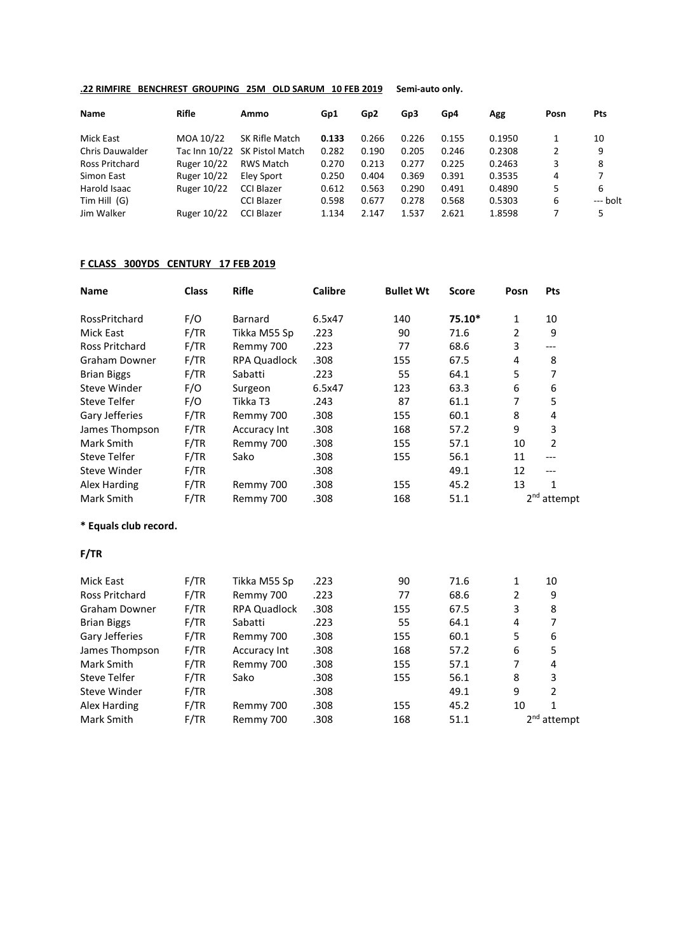### **.22 RIMFIRE BENCHREST GROUPING 25M OLD SARUM 10 FEB 2019 Semi-auto only.**

| <b>Name</b>            | Rifle       | Ammo                          | Gp1   | Gp <sub>2</sub> | Gp3   | Gp4   | Agg    | Posn | Pts      |
|------------------------|-------------|-------------------------------|-------|-----------------|-------|-------|--------|------|----------|
| Mick East              | MOA 10/22   | SK Rifle Match                | 0.133 | 0.266           | 0.226 | 0.155 | 0.1950 |      | 10       |
| <b>Chris Dauwalder</b> |             | Tac Inn 10/22 SK Pistol Match | 0.282 | 0.190           | 0.205 | 0.246 | 0.2308 | 2    | 9        |
| Ross Pritchard         | Ruger 10/22 | RWS Match                     | 0.270 | 0.213           | 0.277 | 0.225 | 0.2463 | 3    | 8        |
| Simon East             | Ruger 10/22 | Elev Sport                    | 0.250 | 0.404           | 0.369 | 0.391 | 0.3535 | 4    | 7        |
| Harold Isaac           | Ruger 10/22 | <b>CCI Blazer</b>             | 0.612 | 0.563           | 0.290 | 0.491 | 0.4890 | 5    | 6        |
| Tim Hill $(G)$         |             | <b>CCI Blazer</b>             | 0.598 | 0.677           | 0.278 | 0.568 | 0.5303 | 6    | --- bolt |
| Jim Walker             | Ruger 10/22 | <b>CCI Blazer</b>             | 1.134 | 2.147           | 1.537 | 2.621 | 1.8598 |      | 5        |

### **F CLASS 300YDS CENTURY 17 FEB 2019**

| <b>Name</b>           | <b>Class</b> | <b>Rifle</b>        | <b>Calibre</b> | <b>Bullet Wt</b> | <b>Score</b> | Posn           | Pts                     |  |
|-----------------------|--------------|---------------------|----------------|------------------|--------------|----------------|-------------------------|--|
| RossPritchard         | F/O          | <b>Barnard</b>      | 6.5x47         | 140              | 75.10*       | 1              | 10                      |  |
| Mick East             | F/TR         | Tikka M55 Sp        | .223           | 90               | 71.6         | $\overline{2}$ | 9                       |  |
| Ross Pritchard        | F/TR         | Remmy 700           | .223           | 77               | 68.6         | 3              | ---                     |  |
| <b>Graham Downer</b>  | F/TR         | <b>RPA Quadlock</b> | .308           | 155              | 67.5         | 4              | 8                       |  |
| <b>Brian Biggs</b>    | F/TR         | Sabatti             | .223           | 55               | 64.1         | 5              | 7                       |  |
| Steve Winder          | F/O          | Surgeon             | 6.5x47         | 123              | 63.3         | 6              | 6                       |  |
| <b>Steve Telfer</b>   | F/O          | Tikka T3            | .243           | 87               | 61.1         | $\overline{7}$ | 5                       |  |
| Gary Jefferies        | F/TR         | Remmy 700           | .308           | 155              | 60.1         | 8              | 4                       |  |
| James Thompson        | F/TR         | <b>Accuracy Int</b> | .308           | 168              | 57.2         | 9              | 3                       |  |
| Mark Smith            | F/TR         | Remmy 700           | .308           | 155              | 57.1         | 10             | $\overline{2}$          |  |
| <b>Steve Telfer</b>   | F/TR         | Sako                | .308           | 155              | 56.1         | 11             | $---$                   |  |
| Steve Winder          | F/TR         |                     | .308           |                  | 49.1         | 12             | ---                     |  |
| Alex Harding          | F/TR         | Remmy 700           | .308           | 155              | 45.2         | 13             | $\mathbf{1}$            |  |
| Mark Smith            | F/TR         | Remmy 700           | .308           | 168              | 51.1         |                | $2nd$ attempt           |  |
| * Equals club record. |              |                     |                |                  |              |                |                         |  |
| F/TR                  |              |                     |                |                  |              |                |                         |  |
| <b>Mick East</b>      | F/TR         | Tikka M55 Sp        | .223           | 90               | 71.6         | 1              | 10                      |  |
| <b>Ross Pritchard</b> | F/TR         | Remmy 700           | .223           | 77               | 68.6         | $\overline{2}$ | 9                       |  |
| Graham Downer         | F/TR         | <b>RPA Quadlock</b> | .308           | 155              | 67.5         | 3              | 8                       |  |
| <b>Brian Biggs</b>    | F/TR         | Sabatti             | .223           | 55               | 64.1         | 4              | 7                       |  |
| Gary Jefferies        | F/TR         | Remmy 700           | .308           | 155              | 60.1         | 5              | 6                       |  |
| James Thompson        | F/TR         | Accuracy Int        | .308           | 168              | 57.2         | 6              | 5                       |  |
| Mark Smith            | F/TR         | Remmy 700           | .308           | 155              | 57.1         | $\overline{7}$ | 4                       |  |
| <b>Steve Telfer</b>   | F/TR         | Sako                | .308           | 155              | 56.1         | 8              | 3                       |  |
| Steve Winder          | F/TR         |                     | .308           |                  | 49.1         | 9              | $\overline{2}$          |  |
| Alex Harding          | F/TR         | Remmy 700           | .308           | 155              | 45.2         | 10             | $\mathbf{1}$            |  |
| Mark Smith            | F/TR         | Remmy 700           | .308           | 168              | 51.1         |                | 2 <sup>nd</sup> attempt |  |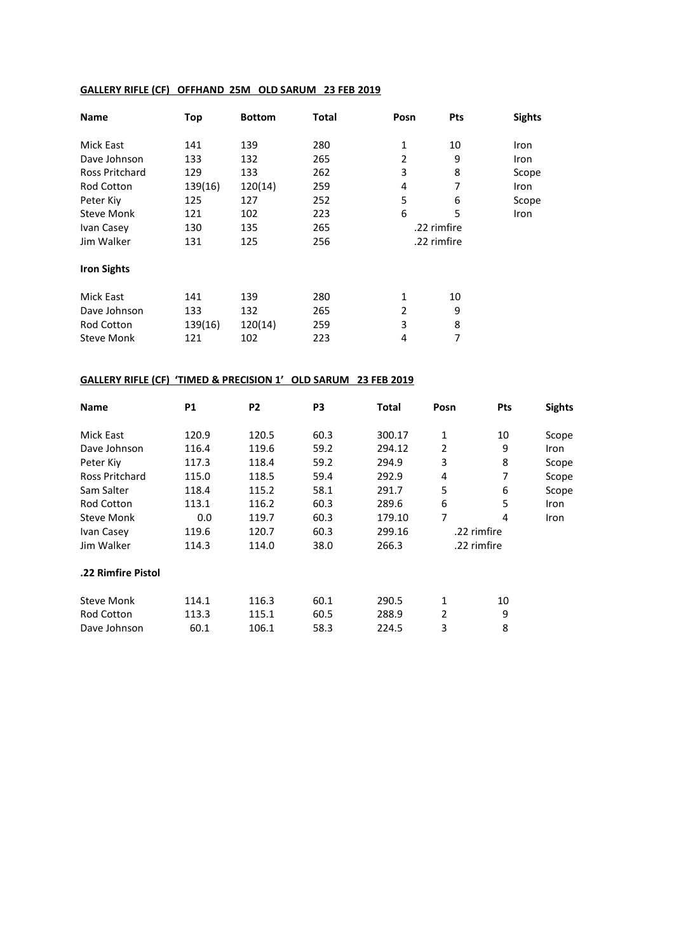## **GALLERY RIFLE (CF) OFFHAND 25M OLD SARUM 23 FEB 2019**

| <b>Name</b>           | Top     | <b>Bottom</b> | Total | Posn           | Pts         | <b>Sights</b> |
|-----------------------|---------|---------------|-------|----------------|-------------|---------------|
| Mick East             | 141     | 139           | 280   | 1              | 10          | Iron          |
| Dave Johnson          | 133     | 132           | 265   | $\overline{2}$ | 9           | <b>Iron</b>   |
| <b>Ross Pritchard</b> | 129     | 133           | 262   | 3              | 8           | Scope         |
| <b>Rod Cotton</b>     | 139(16) | 120(14)       | 259   | 4              | 7           | <b>Iron</b>   |
| Peter Kiy             | 125     | 127           | 252   | 5              | 6           | Scope         |
| <b>Steve Monk</b>     | 121     | 102           | 223   | 6              | 5           | Iron          |
| Ivan Casey            | 130     | 135           | 265   |                | .22 rimfire |               |
| Jim Walker            | 131     | 125           | 256   |                | .22 rimfire |               |
| <b>Iron Sights</b>    |         |               |       |                |             |               |
| <b>Mick East</b>      | 141     | 139           | 280   | 1              | 10          |               |
| Dave Johnson          | 133     | 132           | 265   | 2              | 9           |               |
| <b>Rod Cotton</b>     | 139(16) | 120(14)       | 259   | 3              | 8           |               |
| <b>Steve Monk</b>     | 121     | 102           | 223   | 4              | 7           |               |

## **GALLERY RIFLE (CF) 'TIMED & PRECISION 1' OLD SARUM 23 FEB 2019**

| <b>Name</b>           | <b>P1</b> | P <sub>2</sub> | P3   | Total  | Posn | <b>Pts</b>  | <b>Sights</b> |
|-----------------------|-----------|----------------|------|--------|------|-------------|---------------|
| Mick East             | 120.9     | 120.5          | 60.3 | 300.17 | 1    | 10          | Scope         |
| Dave Johnson          | 116.4     | 119.6          | 59.2 | 294.12 | 2    | 9           | Iron          |
| Peter Kiy             | 117.3     | 118.4          | 59.2 | 294.9  | 3    | 8           | Scope         |
| <b>Ross Pritchard</b> | 115.0     | 118.5          | 59.4 | 292.9  | 4    | 7           | Scope         |
| Sam Salter            | 118.4     | 115.2          | 58.1 | 291.7  | 5    | 6           | Scope         |
| Rod Cotton            | 113.1     | 116.2          | 60.3 | 289.6  | 6    | 5           | <b>Iron</b>   |
| <b>Steve Monk</b>     | 0.0       | 119.7          | 60.3 | 179.10 | 7    | 4           | <b>Iron</b>   |
| Ivan Casey            | 119.6     | 120.7          | 60.3 | 299.16 |      | .22 rimfire |               |
| Jim Walker            | 114.3     | 114.0          | 38.0 | 266.3  |      | .22 rimfire |               |
| .22 Rimfire Pistol    |           |                |      |        |      |             |               |
| <b>Steve Monk</b>     | 114.1     | 116.3          | 60.1 | 290.5  | 1    | 10          |               |
| <b>Rod Cotton</b>     | 113.3     | 115.1          | 60.5 | 288.9  | 2    | 9           |               |
| Dave Johnson          | 60.1      | 106.1          | 58.3 | 224.5  | 3    | 8           |               |